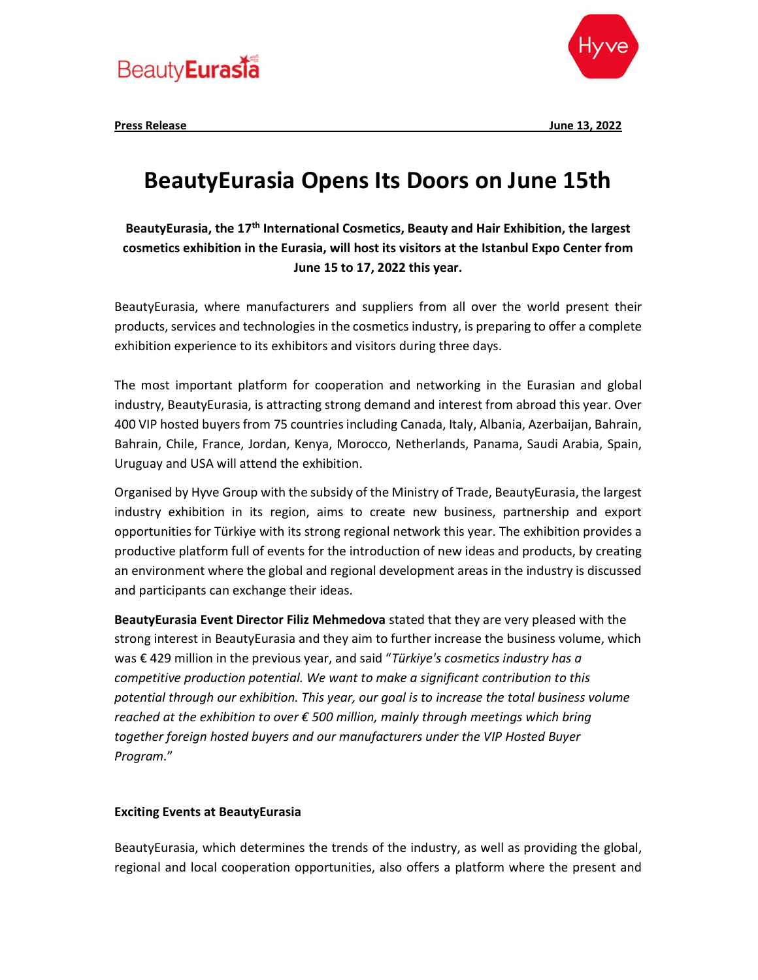



Press Release June 13, 2022

## BeautyEurasia Opens Its Doors on June 15th

BeautyEurasia, the 17<sup>th</sup> International Cosmetics, Beauty and Hair Exhibition, the largest cosmetics exhibition in the Eurasia, will host its visitors at the Istanbul Expo Center from June 15 to 17, 2022 this year.

BeautyEurasia, where manufacturers and suppliers from all over the world present their products, services and technologies in the cosmetics industry, is preparing to offer a complete exhibition experience to its exhibitors and visitors during three days.

The most important platform for cooperation and networking in the Eurasian and global industry, BeautyEurasia, is attracting strong demand and interest from abroad this year. Over 400 VIP hosted buyers from 75 countries including Canada, Italy, Albania, Azerbaijan, Bahrain, Bahrain, Chile, France, Jordan, Kenya, Morocco, Netherlands, Panama, Saudi Arabia, Spain, Uruguay and USA will attend the exhibition.

Organised by Hyve Group with the subsidy of the Ministry of Trade, BeautyEurasia, the largest industry exhibition in its region, aims to create new business, partnership and export opportunities for Türkiye with its strong regional network this year. The exhibition provides a productive platform full of events for the introduction of new ideas and products, by creating an environment where the global and regional development areas in the industry is discussed and participants can exchange their ideas.

BeautyEurasia Event Director Filiz Mehmedova stated that they are very pleased with the strong interest in BeautyEurasia and they aim to further increase the business volume, which was  $\epsilon$  429 million in the previous year, and said "Türkiye's cosmetics industry has a competitive production potential. We want to make a significant contribution to this potential through our exhibition. This year, our goal is to increase the total business volume reached at the exhibition to over  $\epsilon$  500 million, mainly through meetings which bring together foreign hosted buyers and our manufacturers under the VIP Hosted Buyer Program."

## Exciting Events at BeautyEurasia

BeautyEurasia, which determines the trends of the industry, as well as providing the global, regional and local cooperation opportunities, also offers a platform where the present and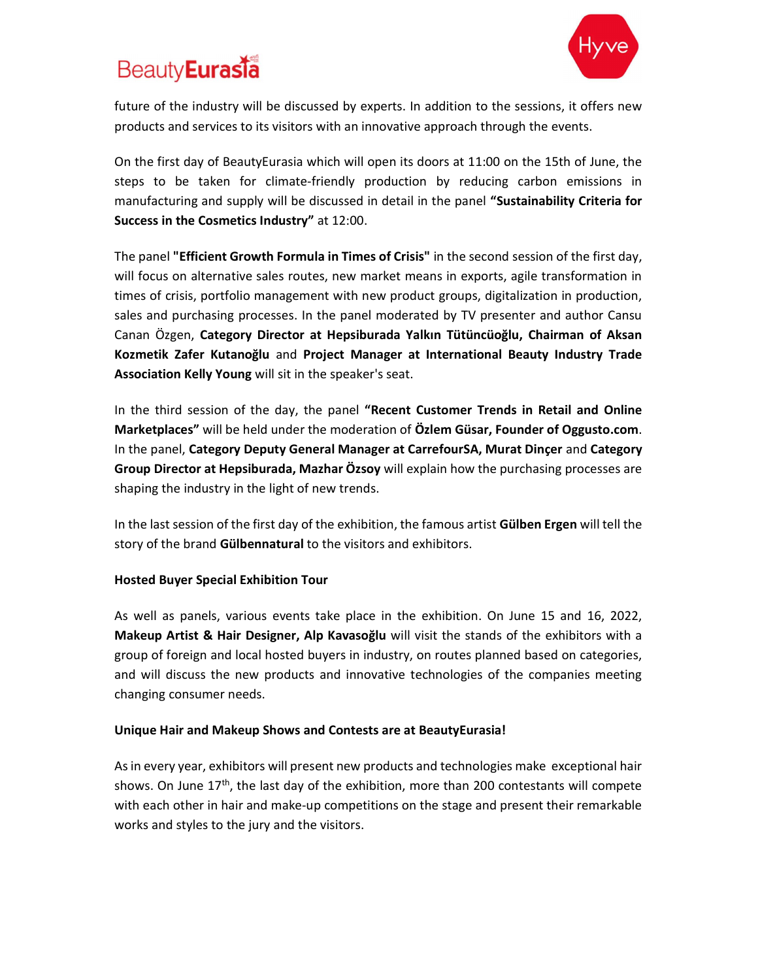# **Beauty** Eurasia



future of the industry will be discussed by experts. In addition to the sessions, it offers new products and services to its visitors with an innovative approach through the events.

On the first day of BeautyEurasia which will open its doors at 11:00 on the 15th of June, the steps to be taken for climate-friendly production by reducing carbon emissions in manufacturing and supply will be discussed in detail in the panel "Sustainability Criteria for Success in the Cosmetics Industry" at 12:00.

The panel "Efficient Growth Formula in Times of Crisis" in the second session of the first day, will focus on alternative sales routes, new market means in exports, agile transformation in times of crisis, portfolio management with new product groups, digitalization in production, sales and purchasing processes. In the panel moderated by TV presenter and author Cansu Canan Özgen, Category Director at Hepsiburada Yalkın Tütüncüoğlu, Chairman of Aksan Kozmetik Zafer Kutanoğlu and Project Manager at International Beauty Industry Trade Association Kelly Young will sit in the speaker's seat.

In the third session of the day, the panel "Recent Customer Trends in Retail and Online Marketplaces" will be held under the moderation of Özlem Güsar, Founder of Oggusto.com. In the panel, Category Deputy General Manager at CarrefourSA, Murat Dinçer and Category Group Director at Hepsiburada, Mazhar Özsoy will explain how the purchasing processes are shaping the industry in the light of new trends.

In the last session of the first day of the exhibition, the famous artist Gülben Ergen will tell the story of the brand Gülbennatural to the visitors and exhibitors.

## Hosted Buyer Special Exhibition Tour

As well as panels, various events take place in the exhibition. On June 15 and 16, 2022, Makeup Artist & Hair Designer, Alp Kavasoğlu will visit the stands of the exhibitors with a group of foreign and local hosted buyers in industry, on routes planned based on categories, and will discuss the new products and innovative technologies of the companies meeting changing consumer needs.

### Unique Hair and Makeup Shows and Contests are at BeautyEurasia!

As in every year, exhibitors will present new products and technologies make exceptional hair shows. On June  $17<sup>th</sup>$ , the last day of the exhibition, more than 200 contestants will compete with each other in hair and make-up competitions on the stage and present their remarkable works and styles to the jury and the visitors.